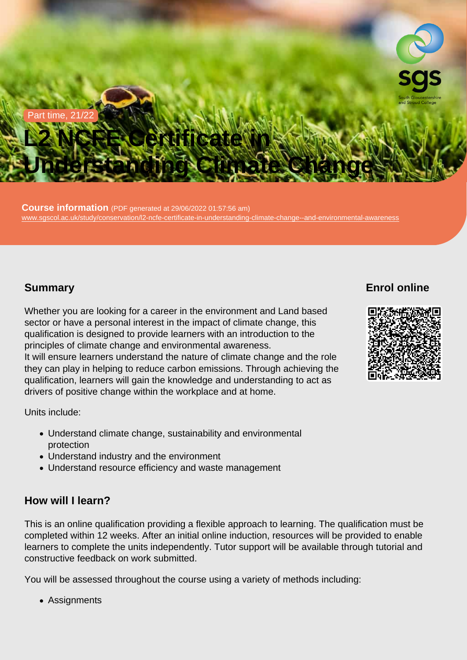#### Part time, 21/22

# L2 NCFE Certificate in Understanding Climate Change

Course information (PDF generated at  $29/06/2022$  01:57:56 am) [www.sgscol.ac.uk/study/conservation/l2-ncfe-certificate-in-understanding-climate-change--and-environmental-awareness](https://www.sgscol.ac.uk/study/conservation/l2-ncfe-certificate-in-understanding-climate-change--and-environmental-awareness)

# **Summary**

Enrol online

Whether you are looking for a career in the environment and Land based sector or have a personal interest in the impact of climate change, this qualification is designed to provide learners with an introduction to the principles of climate change and environmental awareness. It will ensure learners understand the nature of climate change and the role they can play in helping to reduce carbon emissions. Through achieving the qualification, learners will gain the knowledge and understanding to act as drivers of positive change within the workplace and at home.

Units include:

- Understand climate change, sustainability and environmental protection
- Understand industry and the environment
- Understand resource efficiency and waste management

### How will I learn?

This is an online qualification providing a flexible approach to learning. The qualification must be completed within 12 weeks. After an initial online induction, resources will be provided to enable learners to complete the units independently. Tutor support will be available through tutorial and constructive feedback on work submitted.

You will be assessed throughout the course using a variety of methods including:

Assignments